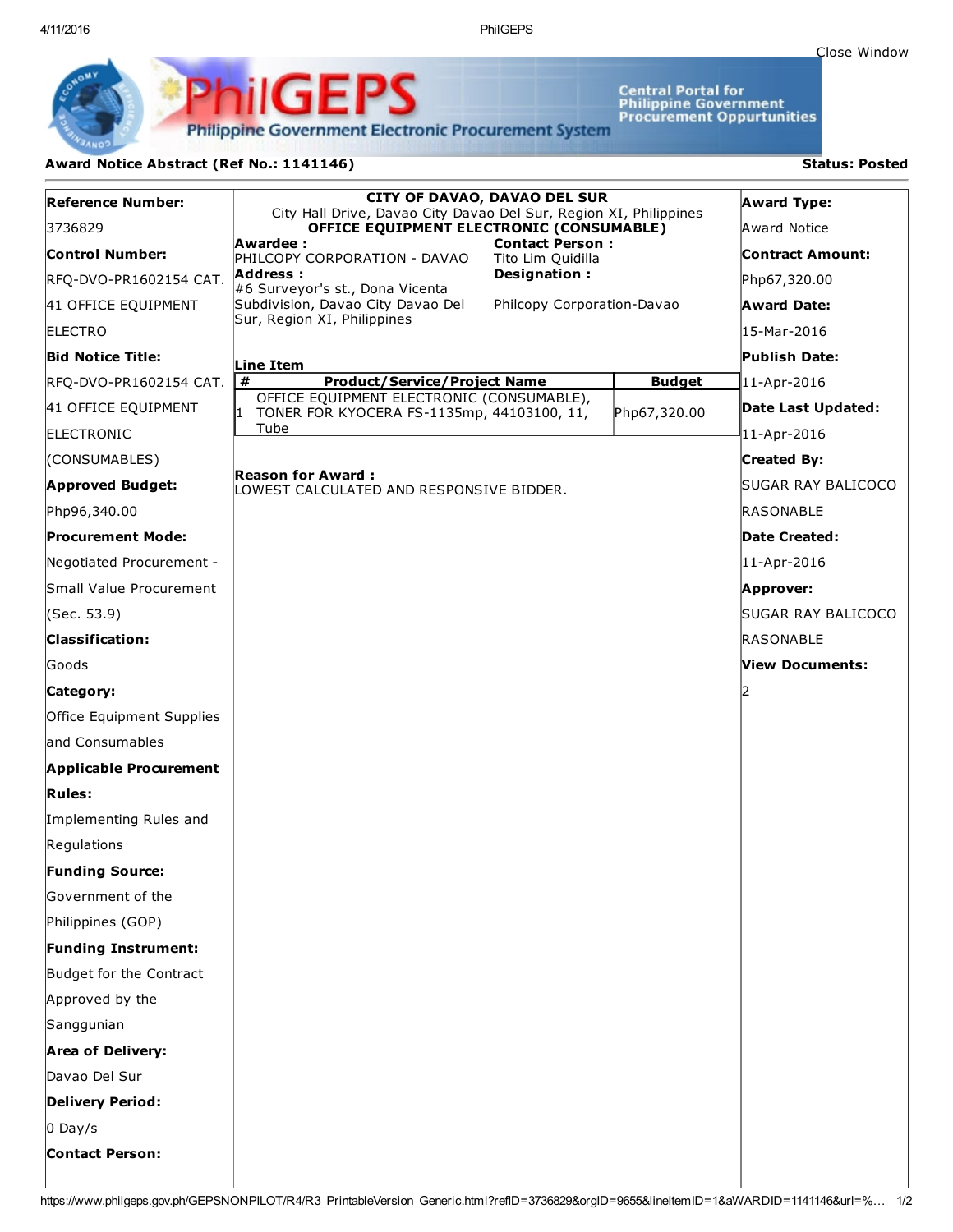Close [Window](javascript:window.close();)

Central Portal for<br>Philippine Government<br>Procurement Oppurtunities

**Philippine Government Electronic Procurement System** 

PS

## Award Notice Abstract (Ref No.: 1141146) Status: Posted

PhilGEI

| <b>Reference Number:</b>      | <b>CITY OF DAVAO, DAVAO DEL SUR</b><br>City Hall Drive, Davao City Davao Del Sur, Region XI, Philippines | <b>Award Type:</b> |                    |
|-------------------------------|----------------------------------------------------------------------------------------------------------|--------------------|--------------------|
| 3736829                       | OFFICE EQUIPMENT ELECTRONIC (CONSUMABLE)                                                                 |                    | Award Notice       |
| <b>Control Number:</b>        | Awardee :<br><b>Contact Person:</b><br>PHILCOPY CORPORATION - DAVAO<br>Tito Lim Quidilla                 |                    | Contract Amount:   |
| RFQ-DVO-PR1602154 CAT.        | Designation:<br>Address :<br>#6 Surveyor's st., Dona Vicenta                                             |                    | Php67,320.00       |
| 41 OFFICE EQUIPMENT           | Subdivision, Davao City Davao Del<br>Philcopy Corporation-Davao                                          |                    | <b>Award Date:</b> |
| <b>ELECTRO</b>                | Sur, Region XI, Philippines                                                                              |                    | 15-Mar-2016        |
| <b>Bid Notice Title:</b>      | Line Item                                                                                                |                    | Publish Date:      |
| RFQ-DVO-PR1602154 CAT.        | $\overline{t}$<br><b>Product/Service/Project Name</b>                                                    | <b>Budget</b>      | 11-Apr-2016        |
| 41 OFFICE EQUIPMENT           | OFFICE EQUIPMENT ELECTRONIC (CONSUMABLE),<br>$\mathbf 1$<br>TONER FOR KYOCERA FS-1135mp, 44103100, 11,   | Php67,320.00       | Date Last Updated: |
| <b>IELECTRONIC</b>            | Tube                                                                                                     |                    | $11 - Apr - 2016$  |
| (CONSUMABLES)                 |                                                                                                          |                    | <b>Created By:</b> |
| <b>Approved Budget:</b>       | <b>Reason for Award:</b><br>LOWEST CALCULATED AND RESPONSIVE BIDDER.                                     |                    | SUGAR RAY BALICOCO |
| Php96,340.00                  |                                                                                                          |                    | RASONABLE          |
| <b>Procurement Mode:</b>      |                                                                                                          |                    | Date Created:      |
| Negotiated Procurement -      |                                                                                                          |                    | 11-Apr-2016        |
| Small Value Procurement       |                                                                                                          |                    | Approver:          |
| (Sec. 53.9)                   |                                                                                                          |                    | SUGAR RAY BALICOCO |
| <b>Classification:</b>        |                                                                                                          |                    | <b>RASONABLE</b>   |
| Goods                         |                                                                                                          |                    | View Documents:    |
| Category:                     |                                                                                                          |                    |                    |
| Office Equipment Supplies     |                                                                                                          |                    |                    |
| and Consumables               |                                                                                                          |                    |                    |
| <b>Applicable Procurement</b> |                                                                                                          |                    |                    |
| <b>Rules:</b>                 |                                                                                                          |                    |                    |
| Implementing Rules and        |                                                                                                          |                    |                    |
| Regulations                   |                                                                                                          |                    |                    |
| <b>Funding Source:</b>        |                                                                                                          |                    |                    |
| Government of the             |                                                                                                          |                    |                    |
| Philippines (GOP)             |                                                                                                          |                    |                    |
| <b>Funding Instrument:</b>    |                                                                                                          |                    |                    |
| Budget for the Contract       |                                                                                                          |                    |                    |
| Approved by the               |                                                                                                          |                    |                    |
| Sanggunian                    |                                                                                                          |                    |                    |
| <b>Area of Delivery:</b>      |                                                                                                          |                    |                    |
| Davao Del Sur                 |                                                                                                          |                    |                    |
| <b>Delivery Period:</b>       |                                                                                                          |                    |                    |
| $0$ Day/s                     |                                                                                                          |                    |                    |
| <b>Contact Person:</b>        |                                                                                                          |                    |                    |
|                               |                                                                                                          |                    |                    |